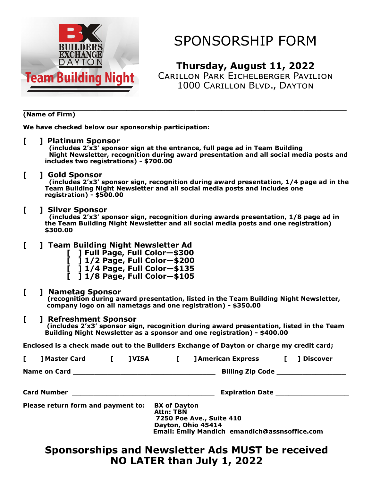

## SPONSORSHIP FORM

**Thursday, August 11, 2022**

Carillon Park Eichelberger Pavilion 1000 Carillon Blvd., Dayton

#### **\_\_\_\_\_\_\_\_\_\_\_\_\_\_\_\_\_\_\_\_\_\_\_\_\_\_\_\_\_\_\_\_\_\_\_\_\_\_\_\_\_\_\_\_\_\_\_\_\_\_\_\_\_\_\_\_\_\_\_\_\_\_\_\_\_\_\_\_\_\_\_\_\_\_\_ (Name of Firm)**

**We have checked below our sponsorship participation:**

#### **[ ] Platinum Sponsor**

 **(includes 2'x3' sponsor sign at the entrance, full page ad in Team Building Night Newsletter, recognition during award presentation and all social media posts and includes two registrations) - \$700.00**

#### **[ ] Gold Sponsor**

 **(includes 2'x3' sponsor sign, recognition during award presentation, 1/4 page ad in the Team Building Night Newsletter and all social media posts and includes one registration) - \$500.00**

#### **[ ] Silver Sponsor**

 **(includes 2'x3' sponsor sign, recognition during awards presentation, 1/8 page ad in the Team Building Night Newsletter and all social media posts and one registration) \$300.00**

### **[ ] Team Building Night Newsletter Ad**

- **[ ] Full Page, Full Color—\$300**
- **[ ] 1/2 Page, Full Color—\$200**
- **[ ] 1/4 Page, Full Color—\$135**
- **[ ] 1/8 Page, Full Color—\$105**

### **[ ] Nametag Sponsor**

**(recognition during award presentation, listed in the Team Building Night Newsletter, company logo on all nametags and one registration) - \$350.00**

### **[ ] Refreshment Sponsor**

**(includes 2'x3' sponsor sign, recognition during award presentation, listed in the Team Building Night Newsletter as a sponsor and one registration) - \$400.00**

**Enclosed is a check made out to the Builders Exchange of Dayton or charge my credit card;**

|                                    | ] Master Card [     |  | <b>JVISA</b>                                                                                                          | $\mathbf{L}$                            |  | <b>] American Express</b>                             | $\blacksquare$ | ]Discover |
|------------------------------------|---------------------|--|-----------------------------------------------------------------------------------------------------------------------|-----------------------------------------|--|-------------------------------------------------------|----------------|-----------|
|                                    | <b>Name on Card</b> |  | <u> 1989 - Johann John Stone, market fan de Fryske kunstne fan de fan de Fryske kunstne fan de fan de fan de fan </u> |                                         |  | Billing Zip Code ___________________                  |                |           |
|                                    |                     |  |                                                                                                                       |                                         |  |                                                       |                |           |
| Please return form and payment to: |                     |  |                                                                                                                       | <b>BX</b> of Dayton<br><b>Attn: TBN</b> |  | <b>7250 Poe Ave., Suite 410</b><br>Dayton, Ohio 45414 |                |           |

## **Sponsorships and Newsletter Ads MUST be received NO LATER than July 1, 2022**

 **Email: Emily Mandich emandich@assnsoffice.com**